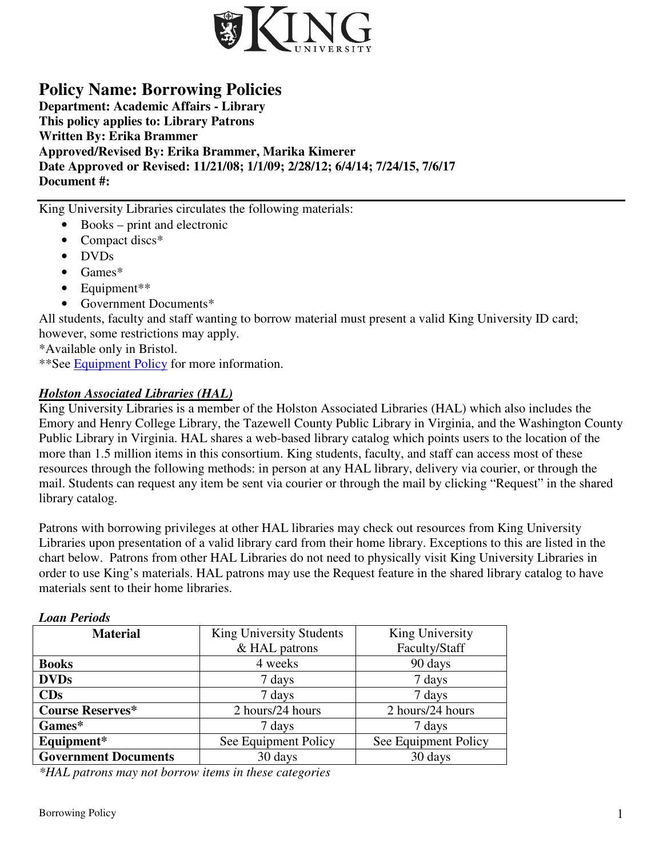

# **Policy Name: Borrowing Policies**

**Department: Academic Affairs - Library This policy applies to: Library Patrons Written By: Erika Brammer Approved/Revised By: Erika Brammer, Marika Kimerer Date Approved or Revised: 11/21/08; 1/1/09; 2/28/12; 6/4/14; 7/24/15, 7/6/17 Document #:** 

King University Libraries circulates the following materials:

- Books print and electronic
- Compact discs<sup>\*</sup>
- DVDs
- Games\*
- Equipment\*\*
- Government Documents\*

All students, faculty and staff wanting to borrow material must present a valid King University ID card; however, some restrictions may apply.

\*Available only in Bristol.

\*\*See Equipment Policy for more information.

## *Holston Associated Libraries (HAL)*

King University Libraries is a member of the Holston Associated Libraries (HAL) which also includes the Emory and Henry College Library, the Tazewell County Public Library in Virginia, and the Washington County Public Library in Virginia. HAL shares a web-based library catalog which points users to the location of the more than 1.5 million items in this consortium. King students, faculty, and staff can access most of these resources through the following methods: in person at any HAL library, delivery via courier, or through the mail. Students can request any item be sent via courier or through the mail by clicking "Request" in the shared library catalog.

Patrons with borrowing privileges at other HAL libraries may check out resources from King University Libraries upon presentation of a valid library card from their home library. Exceptions to this are listed in the chart below. Patrons from other HAL Libraries do not need to physically visit King University Libraries in order to use King's materials. HAL patrons may use the Request feature in the shared library catalog to have materials sent to their home libraries.

| 13000 год о                 |                          |                      |
|-----------------------------|--------------------------|----------------------|
| <b>Material</b>             | King University Students | King University      |
|                             | & HAL patrons            | Faculty/Staff        |
| <b>Books</b>                | 4 weeks                  | 90 days              |
| <b>DVDs</b>                 | 7 days                   | 7 days               |
| CDs                         | 7 days                   | 7 days               |
| <b>Course Reserves*</b>     | 2 hours/24 hours         | 2 hours/24 hours     |
| Games*                      | 7 days                   | 7 days               |
| Equipment*                  | See Equipment Policy     | See Equipment Policy |
| <b>Government Documents</b> | 30 days                  | 30 days              |

*Loan Periods* 

*\*HAL patrons may not borrow items in these categories*